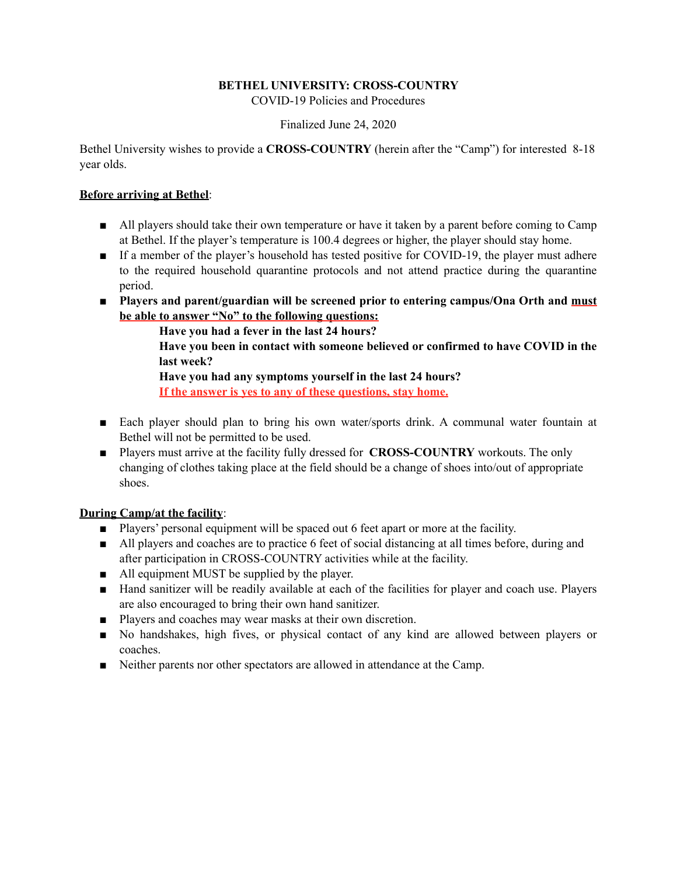# **BETHEL UNIVERSITY: CROSS-COUNTRY**

COVID-19 Policies and Procedures

### Finalized June 24, 2020

Bethel University wishes to provide a **CROSS-COUNTRY** (herein after the "Camp") for interested 8-18 year olds.

### **Before arriving at Bethel**:

- All players should take their own temperature or have it taken by a parent before coming to Camp at Bethel. If the player's temperature is 100.4 degrees or higher, the player should stay home.
- If a member of the player's household has tested positive for COVID-19, the player must adhere to the required household quarantine protocols and not attend practice during the quarantine period.
- **Players and parent/guardian will be screened prior to entering campus/Ona Orth and must be able to answer "No" to the following questions:**

 **Have you had a fever in the last 24 hours?** 

 **Have you been in contact with someone believed or confirmed to have COVID in the last week?** 

 **Have you had any symptoms yourself in the last 24 hours? If the answer is yes to any of these questions, stay home.** 

- Each player should plan to bring his own water/sports drink. A communal water fountain at Bethel will not be permitted to be used.
- Players must arrive at the facility fully dressed for **CROSS-COUNTRY** workouts. The only changing of clothes taking place at the field should be a change of shoes into/out of appropriate shoes.

# **During Camp/at the facility**:

- Players' personal equipment will be spaced out 6 feet apart or more at the facility.
- All players and coaches are to practice 6 feet of social distancing at all times before, during and after participation in CROSS-COUNTRY activities while at the facility.
- All equipment MUST be supplied by the player.
- Hand sanitizer will be readily available at each of the facilities for player and coach use. Players are also encouraged to bring their own hand sanitizer.
- Players and coaches may wear masks at their own discretion.
- No handshakes, high fives, or physical contact of any kind are allowed between players or coaches.
- Neither parents nor other spectators are allowed in attendance at the Camp.